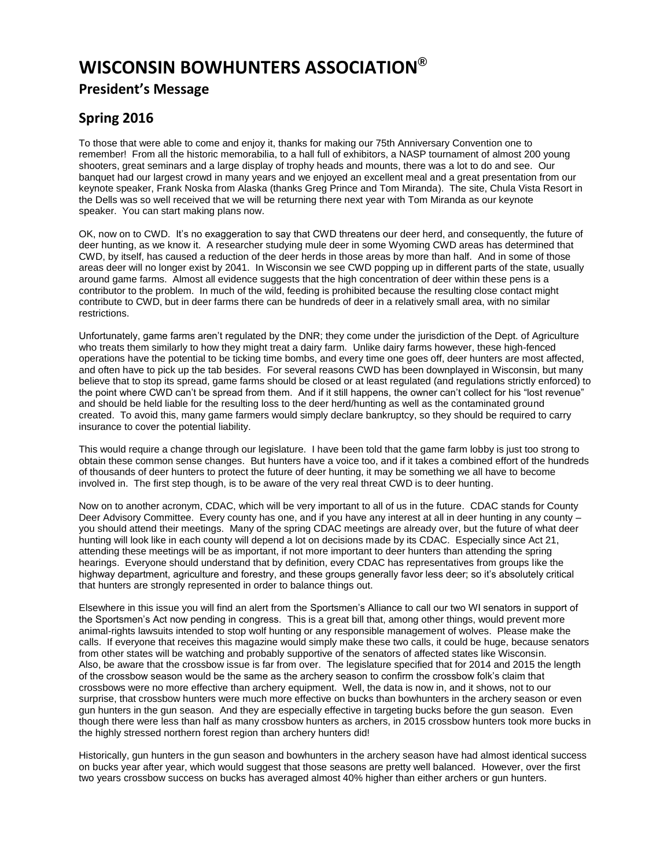## **WISCONSIN BOWHUNTERS ASSOCIATION®**

## **President's Message**

## **Spring 2016**

To those that were able to come and enjoy it, thanks for making our 75th Anniversary Convention one to remember! From all the historic memorabilia, to a hall full of exhibitors, a NASP tournament of almost 200 young shooters, great seminars and a large display of trophy heads and mounts, there was a lot to do and see. Our banquet had our largest crowd in many years and we enjoyed an excellent meal and a great presentation from our keynote speaker, Frank Noska from Alaska (thanks Greg Prince and Tom Miranda). The site, Chula Vista Resort in the Dells was so well received that we will be returning there next year with Tom Miranda as our keynote speaker. You can start making plans now.

OK, now on to CWD. It's no exaggeration to say that CWD threatens our deer herd, and consequently, the future of deer hunting, as we know it. A researcher studying mule deer in some Wyoming CWD areas has determined that CWD, by itself, has caused a reduction of the deer herds in those areas by more than half. And in some of those areas deer will no longer exist by 2041. In Wisconsin we see CWD popping up in different parts of the state, usually around game farms. Almost all evidence suggests that the high concentration of deer within these pens is a contributor to the problem. In much of the wild, feeding is prohibited because the resulting close contact might contribute to CWD, but in deer farms there can be hundreds of deer in a relatively small area, with no similar restrictions.

Unfortunately, game farms aren't regulated by the DNR; they come under the jurisdiction of the Dept. of Agriculture who treats them similarly to how they might treat a dairy farm. Unlike dairy farms however, these high-fenced operations have the potential to be ticking time bombs, and every time one goes off, deer hunters are most affected, and often have to pick up the tab besides. For several reasons CWD has been downplayed in Wisconsin, but many believe that to stop its spread, game farms should be closed or at least regulated (and regulations strictly enforced) to the point where CWD can't be spread from them. And if it still happens, the owner can't collect for his "lost revenue" and should be held liable for the resulting loss to the deer herd/hunting as well as the contaminated ground created. To avoid this, many game farmers would simply declare bankruptcy, so they should be required to carry insurance to cover the potential liability.

This would require a change through our legislature. I have been told that the game farm lobby is just too strong to obtain these common sense changes. But hunters have a voice too, and if it takes a combined effort of the hundreds of thousands of deer hunters to protect the future of deer hunting, it may be something we all have to become involved in. The first step though, is to be aware of the very real threat CWD is to deer hunting.

Now on to another acronym, CDAC, which will be very important to all of us in the future. CDAC stands for County Deer Advisory Committee. Every county has one, and if you have any interest at all in deer hunting in any county – you should attend their meetings. Many of the spring CDAC meetings are already over, but the future of what deer hunting will look like in each county will depend a lot on decisions made by its CDAC. Especially since Act 21, attending these meetings will be as important, if not more important to deer hunters than attending the spring hearings. Everyone should understand that by definition, every CDAC has representatives from groups like the highway department, agriculture and forestry, and these groups generally favor less deer; so it's absolutely critical that hunters are strongly represented in order to balance things out.

Elsewhere in this issue you will find an alert from the Sportsmen's Alliance to call our two WI senators in support of the Sportsmen's Act now pending in congress. This is a great bill that, among other things, would prevent more animal-rights lawsuits intended to stop wolf hunting or any responsible management of wolves. Please make the calls. If everyone that receives this magazine would simply make these two calls, it could be huge, because senators from other states will be watching and probably supportive of the senators of affected states like Wisconsin. Also, be aware that the crossbow issue is far from over. The legislature specified that for 2014 and 2015 the length of the crossbow season would be the same as the archery season to confirm the crossbow folk's claim that crossbows were no more effective than archery equipment. Well, the data is now in, and it shows, not to our surprise, that crossbow hunters were much more effective on bucks than bowhunters in the archery season or even gun hunters in the gun season. And they are especially effective in targeting bucks before the gun season. Even though there were less than half as many crossbow hunters as archers, in 2015 crossbow hunters took more bucks in the highly stressed northern forest region than archery hunters did!

Historically, gun hunters in the gun season and bowhunters in the archery season have had almost identical success on bucks year after year, which would suggest that those seasons are pretty well balanced. However, over the first two years crossbow success on bucks has averaged almost 40% higher than either archers or gun hunters.